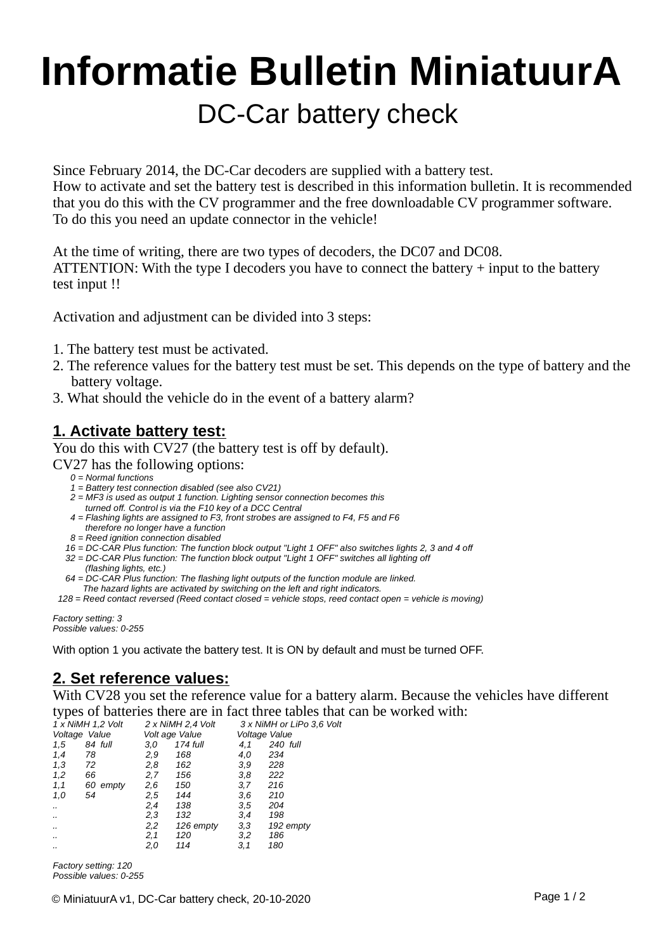# DC-Car battery check **Informatie Bulletin MiniatuurA**

Since February 2014, the DC-Car decoders are supplied with a battery test. How to activate and set the battery test is described in this information bulletin. It is recommended that you do this with the CV programmer and the free downloadable CV programmer software. To do this you need an update connector in the vehicle!

At the time of writing, there are two types of decoders, the DC07 and DC08. ATTENTION: With the type I decoders you have to connect the battery  $+$  input to the battery test input !!

Activation and adjustment can be divided into 3 steps:

- 1. The battery test must be activated.
- 2. The reference values for the battery test must be set. This depends on the type of battery and the battery voltage.
- 3. What should the vehicle do in the event of a battery alarm?

#### **1. Activate battery test:**

You do this with CV27 (the battery test is off by default). CV27 has the following options:

- *0 = Normal functions*
- *1 = Battery test connection disabled (see also CV21)*
- *2 = MF3 is used as output 1 function. Lighting sensor connection becomes this turned off. Control is via the F10 key of a DCC Central*
- *4 = Flashing lights are assigned to F3, front strobes are assigned to F4, F5 and F6 therefore no longer have a function*
- *8 = Reed ignition connection disabled*
- *16 = DC-CAR Plus function: The function block output "Light 1 OFF" also switches lights 2, 3 and 4 off*
- *32 = DC-CAR Plus function: The function block output "Light 1 OFF" switches all lighting off (flashing lights, etc.)*
- *64 = DC-CAR Plus function: The flashing light outputs of the function module are linked. The hazard lights are activated by switching on the left and right indicators.*
- *128 = Reed contact reversed (Reed contact closed = vehicle stops, reed contact open = vehicle is moving)*

*Factory setting: 3 Possible values: 0-255*

With option 1 you activate the battery test. It is ON by default and must be turned OFF.

## **2. Set reference values:**

With CV28 you set the reference value for a battery alarm. Because the vehicles have different types of batteries there are in fact three tables that can be worked with:<br> $\frac{1 \times N \parallel M \parallel 1.2 \text{ V} \cdot \text{V}}{2 \times N \parallel M \parallel 2.4 \text{ V} \cdot \text{V}}$ 

| 1 x NiMH 1,2 Volt |          | 2 x NiMH 2.4 Volt |           | 3 x NiMH or LiPo 3.6 Volt |           |
|-------------------|----------|-------------------|-----------|---------------------------|-----------|
| Voltage Value     |          | Volt age Value    |           | Voltage Value             |           |
| 1,5               | 84 full  | 3.0               | 174 full  | 4,1                       | 240 full  |
| 1,4               | 78       | 2,9               | 168       | 4,0                       | 234       |
| 1,3               | 72       | 2,8               | 162       | 3,9                       | 228       |
| 1,2               | 66       | 2,7               | 156       | 3,8                       | 222       |
| 1,1               | 60 empty | 2,6               | 150       | 3,7                       | 216       |
| 1.0               | 54       | 2.5               | 144       | 3.6                       | 210       |
|                   |          | 2,4               | 138       | 3.5                       | 204       |
|                   |          | 2,3               | 132       | 3,4                       | 198       |
|                   |          | 2,2               | 126 empty | 3,3                       | 192 empty |
|                   |          | 2,1               | 120       | 3,2                       | 186       |
|                   |          | 2,0               | 114       | 3,1                       | 180       |
|                   |          |                   |           |                           |           |

*Factory setting: 120 Possible values: 0-255*